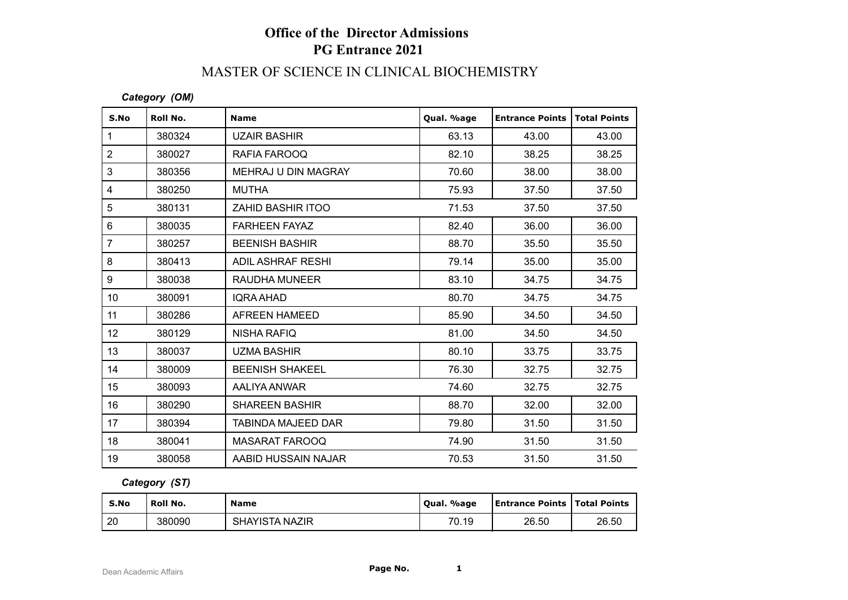# **Office of the Director Admissions PG Entrance 2021**

# MASTER OF SCIENCE IN CLINICAL BIOCHEMISTRY

### *Category (OM)*

| S.No           | Roll No. | <b>Name</b>            | Qual. %age | <b>Entrance Points</b> | <b>Total Points</b> |
|----------------|----------|------------------------|------------|------------------------|---------------------|
| $\mathbf{1}$   | 380324   | <b>UZAIR BASHIR</b>    | 63.13      | 43.00                  | 43.00               |
| 2              | 380027   | RAFIA FAROOQ           | 82.10      | 38.25                  | 38.25               |
| 3              | 380356   | MEHRAJ U DIN MAGRAY    | 70.60      | 38.00                  | 38.00               |
| 4              | 380250   | <b>MUTHA</b>           | 75.93      | 37.50                  | 37.50               |
| $\sqrt{5}$     | 380131   | ZAHID BASHIR ITOO      | 71.53      | 37.50                  | 37.50               |
| $6\phantom{1}$ | 380035   | <b>FARHEEN FAYAZ</b>   | 82.40      | 36.00                  | 36.00               |
| $\overline{7}$ | 380257   | <b>BEENISH BASHIR</b>  | 88.70      | 35.50                  | 35.50               |
| 8              | 380413   | ADIL ASHRAF RESHI      | 79.14      | 35.00                  | 35.00               |
| 9              | 380038   | <b>RAUDHA MUNEER</b>   | 83.10      | 34.75                  | 34.75               |
| 10             | 380091   | <b>IQRA AHAD</b>       | 80.70      | 34.75                  | 34.75               |
| 11             | 380286   | <b>AFREEN HAMEED</b>   | 85.90      | 34.50                  | 34.50               |
| 12             | 380129   | <b>NISHA RAFIQ</b>     | 81.00      | 34.50                  | 34.50               |
| 13             | 380037   | UZMA BASHIR            | 80.10      | 33.75                  | 33.75               |
| 14             | 380009   | <b>BEENISH SHAKEEL</b> | 76.30      | 32.75                  | 32.75               |
| 15             | 380093   | AALIYA ANWAR           | 74.60      | 32.75                  | 32.75               |
| 16             | 380290   | <b>SHAREEN BASHIR</b>  | 88.70      | 32.00                  | 32.00               |
| 17             | 380394   | TABINDA MAJEED DAR     | 79.80      | 31.50                  | 31.50               |
| 18             | 380041   | <b>MASARAT FAROOQ</b>  | 74.90      | 31.50                  | 31.50               |
| 19             | 380058   | AABID HUSSAIN NAJAR    | 70.53      | 31.50                  | 31.50               |

### *Category (ST)*

| S.No | Roll No. | <b>Name</b>    | Qual. %age | <b>Entrance Points   Total Points</b> |       |
|------|----------|----------------|------------|---------------------------------------|-------|
| 20   | 380090   | SHAYISTA NAZIR | 70.19      | 26.50                                 | 26.50 |